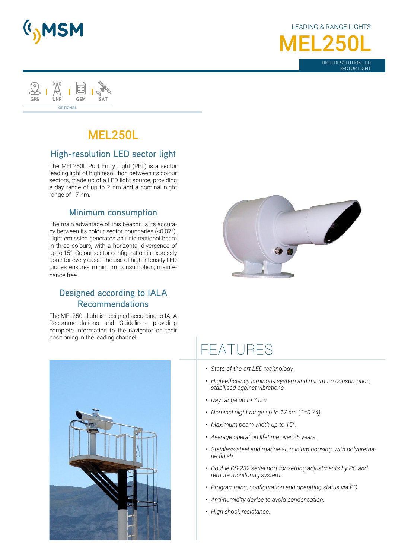

LEADING & RANGE LIGHTS HIGH-RESOLUTION LED **MEL250L** 

SECTOR LIGHT



# MEL250L

## **High-resolution LED sector light**

The MEL250L Port Entry Light (PEL) is a sector leading light of high resolution between its colour sectors, made up of a LED light source, providing a day range of up to 2 nm and a nominal night range of 17 nm.

### **Minimum consumption**

The main advantage of this beacon is its accuracy between its colour sector boundaries (<0.07°). Light emission generates an unidirectional beam in three colours, with a horizontal divergence of up to 15°. Colour sector configuration is expressly done for every case. The use of high intensity LED diodes ensures minimum consumption, maintenance free.

## **Designed according to IALA Recommendations**

The MEL250L light is designed according to IALA Recommendations and Guidelines, providing complete information to the navigator on their positioning in the leading channel.



# FFATURES

- *• State-of-the-art LED technology.*
- *• High-efficiency luminous system and minimum consumption, stabilised against vibrations.*
- *• Day range up to 2 nm.*
- *• Nominal night range up to 17 nm (T=0.74).*
- *• Maximum beam width up to 15°.*
- *• Average operation lifetime over 25 years.*
- *• Stainless-steel and marine-aluminium housing, with polyurethane finish.*
- *• Double RS-232 serial port for setting adjustments by PC and remote monitoring system.*
- *• Programming, configuration and operating status via PC.*
- *• Anti-humidity device to avoid condensation.*
- *• High shock resistance.*